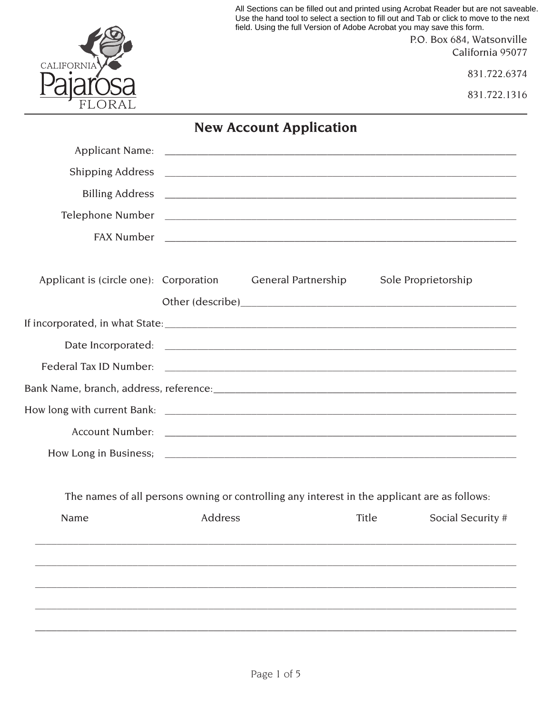|                                        | field. Using the full Version of Adobe Acrobat you may save this form.                                                                                                                                                        |       | All Sections can be filled out and printed using Acrobat Reader but are not saveable.<br>Use the hand tool to select a section to fill out and Tab or click to move to the next<br>P.O. Box 684, Watsonville<br>California 95077 |
|----------------------------------------|-------------------------------------------------------------------------------------------------------------------------------------------------------------------------------------------------------------------------------|-------|----------------------------------------------------------------------------------------------------------------------------------------------------------------------------------------------------------------------------------|
| <b>CALIFORNIA</b>                      |                                                                                                                                                                                                                               |       | 831.722.6374                                                                                                                                                                                                                     |
|                                        |                                                                                                                                                                                                                               |       | 831.722.1316                                                                                                                                                                                                                     |
|                                        | <b>New Account Application</b>                                                                                                                                                                                                |       |                                                                                                                                                                                                                                  |
|                                        |                                                                                                                                                                                                                               |       |                                                                                                                                                                                                                                  |
|                                        |                                                                                                                                                                                                                               |       |                                                                                                                                                                                                                                  |
|                                        |                                                                                                                                                                                                                               |       |                                                                                                                                                                                                                                  |
|                                        |                                                                                                                                                                                                                               |       |                                                                                                                                                                                                                                  |
|                                        | FAX Number 2000 Communication of the Communication of the Communication of the Communication of the Communication of the Communication of the Communication of the Communication of the Communication of the Communication of |       |                                                                                                                                                                                                                                  |
| Applicant is (circle one): Corporation | <b>General Partnership</b>                                                                                                                                                                                                    |       | Sole Proprietorship                                                                                                                                                                                                              |
|                                        |                                                                                                                                                                                                                               |       |                                                                                                                                                                                                                                  |
|                                        |                                                                                                                                                                                                                               |       |                                                                                                                                                                                                                                  |
| Federal Tax ID Number:                 | <u> 2000 - Jan James James Barnett, amerikansk politik (d. 1989)</u>                                                                                                                                                          |       |                                                                                                                                                                                                                                  |
|                                        |                                                                                                                                                                                                                               |       |                                                                                                                                                                                                                                  |
|                                        |                                                                                                                                                                                                                               |       |                                                                                                                                                                                                                                  |
|                                        |                                                                                                                                                                                                                               |       |                                                                                                                                                                                                                                  |
|                                        |                                                                                                                                                                                                                               |       |                                                                                                                                                                                                                                  |
| Name                                   | The names of all persons owning or controlling any interest in the applicant are as follows:<br>Address                                                                                                                       | Title | Social Security #                                                                                                                                                                                                                |
|                                        |                                                                                                                                                                                                                               |       |                                                                                                                                                                                                                                  |
|                                        |                                                                                                                                                                                                                               |       |                                                                                                                                                                                                                                  |
|                                        |                                                                                                                                                                                                                               |       |                                                                                                                                                                                                                                  |
|                                        | Page 1 of 5                                                                                                                                                                                                                   |       |                                                                                                                                                                                                                                  |

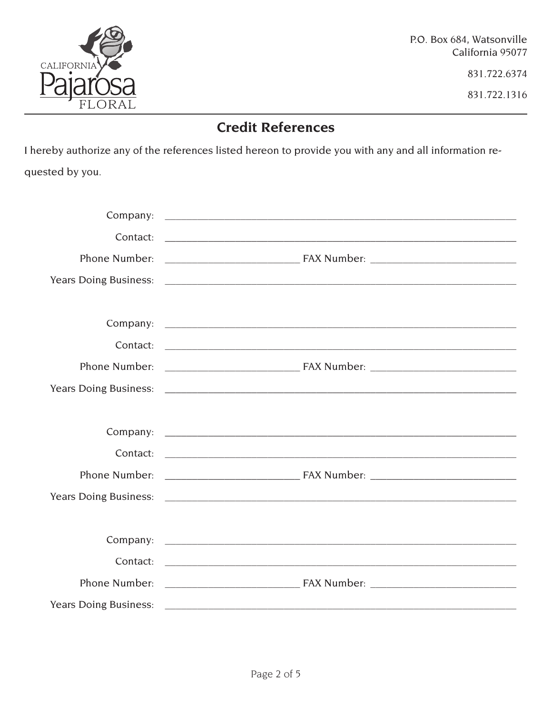

P.O. Box 684, Watsonville California 95077

831.722.6374

831.722.1316

## **Credit References**

I hereby authorize any of the references listed hereon to provide you with any and all information requested by you.

| Contact: |
|----------|
|          |
|          |
|          |
|          |
| Contact: |
|          |
|          |
|          |
|          |
|          |
|          |
|          |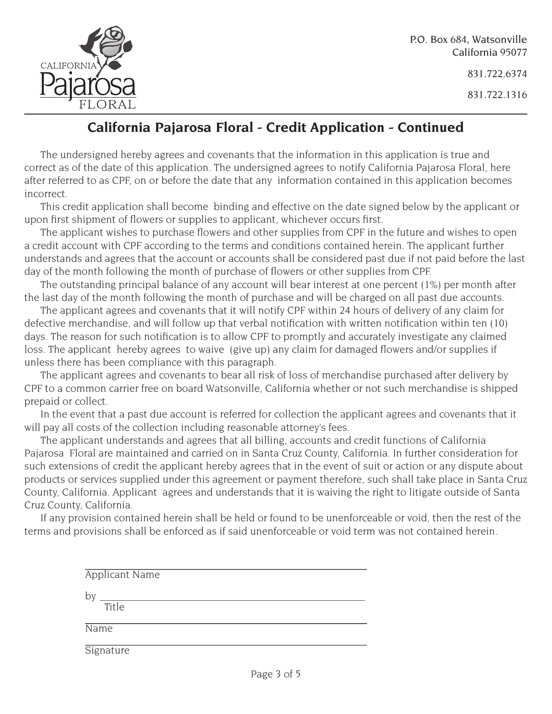

P.O. Box 684, Watsonville California 95077

831.722.6374

831.722.1316

## **California Pajarosa Floral - Credit Application - Continued**

The undersigned hereby agrees and covenants that the information in this application is true and correct as of the date of this application. The undersigned agrees to notify California Pajarosa Floral, here after referred to as CPF, on or before the date that any information contained in this application becomes incorrect.

This credit application shall become binding and effective on the date signed below by the applicant or upon first shipment of flowers or supplies to applicant, whichever occurs first.

The applicant wishes to purchase flowers and other supplies from CPF in the future and wishes to open a credit account with CPF according to the terms and conditions contained herein. The applicant further understands and agrees that the account or accounts shall be considered past due if not paid before the last day of the month following the month of purchase of flowers or other supplies from CPF.

The outstanding principal balance of any account will bear interest at one percent (1%) per month after the last day of the month following the month of purchase and will be charged on all past due accounts.

The applicant agrees and covenants that it will notify CPF within 24 hours of delivery of any claim for defective merchandise, and will follow up that verbal notification with written notification within ten (10) days. The reason for such notification is to allow CPF to promptly and accurately investigate any claimed loss. The applicant hereby agrees to waive (give up) any claim for damaged flowers and/or supplies if unless there has been compliance with this paragraph.

The applicant agrees and covenants to bear all risk of loss of merchandise purchased after delivery by CPF to a common carrier free on board Watsonville, California whether or not such merchandise is shipped prepaid or collect.

In the event that a past due account is referred for collection the applicant agrees and covenants that it will pay all costs of the collection including reasonable attorney's fees.

The applicant understands and agrees that all billing, accounts and credit functions of California Pajarosa Floral are maintained and carried on in Santa Cruz County, California. In further consideration for such extensions of credit the applicant hereby agrees that in the event of suit or action or any dispute about products or services supplied under this agreement or payment therefore, such shall take place in Santa Cruz County, California. Applicant agrees and understands that it is waiving the right to litigate outside of Santa Cruz County, California.

If any provision contained herein shall be held or found to be unenforceable or void, then the rest of the terms and provisions shall be enforced as if said unenforceable or void term was not contained herein.

| <b>Applicant Name</b> |
|-----------------------|
| by                    |
| Title                 |
| Name                  |
| Signature             |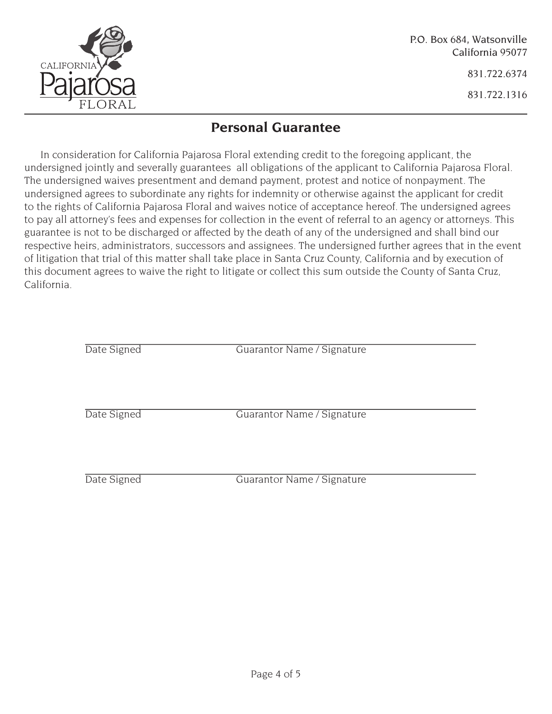

831.722.6374

831.722.1316

## **Personal Guarantee**

In consideration for California Pajarosa Floral extending credit to the foregoing applicant, the undersigned jointly and severally guarantees all obligations of the applicant to California Pajarosa Floral. The undersigned waives presentment and demand payment, protest and notice of nonpayment. The undersigned agrees to subordinate any rights for indemnity or otherwise against the applicant for credit to the rights of California Pajarosa Floral and waives notice of acceptance hereof. The undersigned agrees to pay all attorney's fees and expenses for collection in the event of referral to an agency or attorneys. This guarantee is not to be discharged or affected by the death of any of the undersigned and shall bind our respective heirs, administrators, successors and assignees. The undersigned further agrees that in the event of litigation that trial of this matter shall take place in Santa Cruz County, California and by execution of this document agrees to waive the right to litigate or collect this sum outside the County of Santa Cruz, California.

| Date Signed | Guarantor Name / Signature |
|-------------|----------------------------|
| Date Signed | Guarantor Name / Signature |
|             |                            |
| Date Signed | Guarantor Name / Signature |
|             |                            |